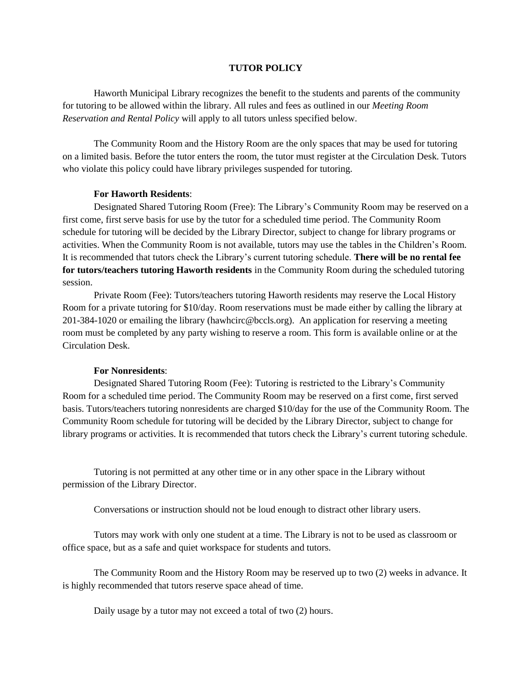## **TUTOR POLICY**

Haworth Municipal Library recognizes the benefit to the students and parents of the community for tutoring to be allowed within the library. All rules and fees as outlined in our *Meeting Room Reservation and Rental Policy* will apply to all tutors unless specified below.

The Community Room and the History Room are the only spaces that may be used for tutoring on a limited basis. Before the tutor enters the room, the tutor must register at the Circulation Desk. Tutors who violate this policy could have library privileges suspended for tutoring.

## **For Haworth Residents**:

Designated Shared Tutoring Room (Free): The Library's Community Room may be reserved on a first come, first serve basis for use by the tutor for a scheduled time period. The Community Room schedule for tutoring will be decided by the Library Director, subject to change for library programs or activities. When the Community Room is not available, tutors may use the tables in the Children's Room. It is recommended that tutors check the Library's current tutoring schedule. **There will be no rental fee for tutors/teachers tutoring Haworth residents** in the Community Room during the scheduled tutoring session.

Private Room (Fee): Tutors/teachers tutoring Haworth residents may reserve the Local History Room for a private tutoring for \$10/day. Room reservations must be made either by calling the library at 201-384-1020 or emailing the library (hawhcirc@bccls.org). An application for reserving a meeting room must be completed by any party wishing to reserve a room. This form is available online or at the Circulation Desk.

## **For Nonresidents**:

Designated Shared Tutoring Room (Fee): Tutoring is restricted to the Library's Community Room for a scheduled time period. The Community Room may be reserved on a first come, first served basis. Tutors/teachers tutoring nonresidents are charged \$10/day for the use of the Community Room. The Community Room schedule for tutoring will be decided by the Library Director, subject to change for library programs or activities. It is recommended that tutors check the Library's current tutoring schedule.

Tutoring is not permitted at any other time or in any other space in the Library without permission of the Library Director.

Conversations or instruction should not be loud enough to distract other library users.

Tutors may work with only one student at a time. The Library is not to be used as classroom or office space, but as a safe and quiet workspace for students and tutors.

The Community Room and the History Room may be reserved up to two (2) weeks in advance. It is highly recommended that tutors reserve space ahead of time.

Daily usage by a tutor may not exceed a total of two (2) hours.